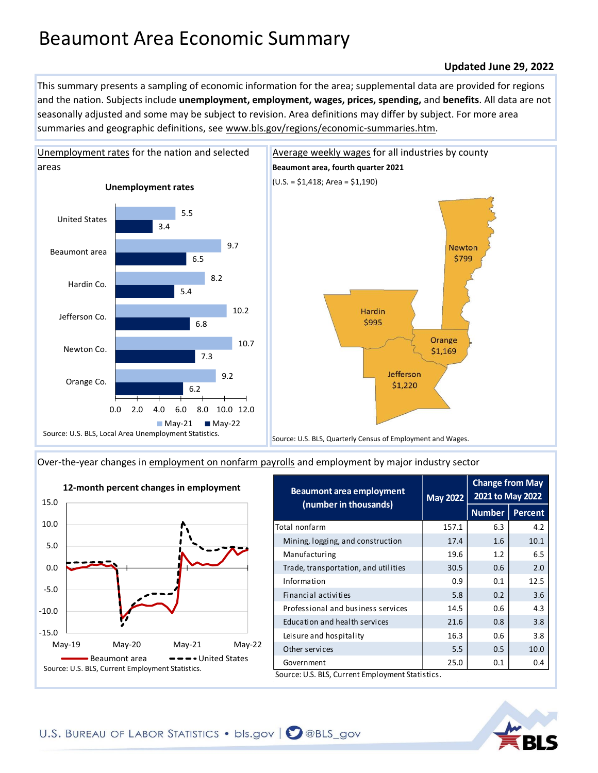# Beaumont Area Economic Summary

#### **Updated June 29, 2022**

This summary presents a sampling of economic information for the area; supplemental data are provided for regions and the nation. Subjects include **unemployment, employment, wages, prices, spending,** and **benefits**. All data are not seasonally adjusted and some may be subject to revision. Area definitions may differ by subject. For more area summaries and geographic definitions, see www.bls.gov/regions/economic-summaries.htm.



[Unemployment rates for the nation and selected](https://www.bls.gov/lau/) 



[Over-the-year changes in employment on nonfarm payrolls](https://www.bls.gov/sae/) and employment by major industry sector



| Beaumont area employment<br>(number in thousands) | <b>May 2022</b> | <b>Change from May</b><br>2021 to May 2022 |                |
|---------------------------------------------------|-----------------|--------------------------------------------|----------------|
|                                                   |                 | <b>Number</b>                              | <b>Percent</b> |
| Total nonfarm                                     | 157.1           | 6.3                                        | 4.2            |
| Mining, logging, and construction                 | 17.4            | 1.6                                        | 10.1           |
| Manufacturing                                     | 19.6            | 1.2                                        | 6.5            |
| Trade, transportation, and utilities              | 30.5            | 0.6                                        | 2.0            |
| Information                                       | 0.9             | 0.1                                        | 12.5           |
| Financial activities                              | 5.8             | 0.2                                        | 3.6            |
| Professional and business services                | 14.5            | 0.6                                        | 4.3            |
| Education and health services                     | 21.6            | 0.8                                        | 3.8            |
| Leisure and hospitality                           | 16.3            | 0.6                                        | 3.8            |

Other services 10.0 10.0 Government 1 25.0 0.1 0.4

Source: U.S. BLS, Current Employment Statistics.